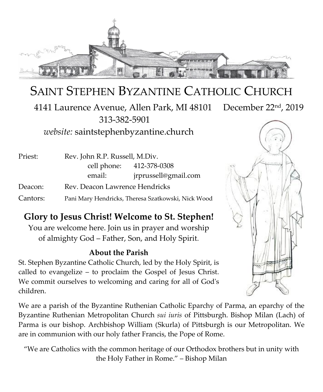

# SAINT STEPHEN BYZANTINE CATHOLIC CHURCH

 4141 Laurence Avenue, Allen Park, MI 48101 December 22nd, 2019 313-382-5901

*website:* saintstephenbyzantine.church

| Priest:  | Rev. John R.P. Russell, M.Div.                     |                          |
|----------|----------------------------------------------------|--------------------------|
|          |                                                    | cell phone: 412-378-0308 |
|          | email:                                             | jrprussell@gmail.com     |
| Deacon:  | Rev. Deacon Lawrence Hendricks                     |                          |
| Cantors: | Pani Mary Hendricks, Theresa Szatkowski, Nick Wood |                          |

### **Glory to Jesus Christ! Welcome to St. Stephen!**

You are welcome here. Join us in prayer and worship of almighty God – Father, Son, and Holy Spirit.

#### **About the Parish**

St. Stephen Byzantine Catholic Church, led by the Holy Spirit, is called to evangelize – to proclaim the Gospel of Jesus Christ. We commit ourselves to welcoming and caring for all of God's children.

We are a parish of the Byzantine Ruthenian Catholic Eparchy of Parma, an eparchy of the Byzantine Ruthenian Metropolitan Church *sui iuris* of Pittsburgh. Bishop Milan (Lach) of Parma is our bishop. Archbishop William (Skurla) of Pittsburgh is our Metropolitan. We are in communion with our holy father Francis, the Pope of Rome.

"We are Catholics with the common heritage of our Orthodox brothers but in unity with the Holy Father in Rome." – Bishop Milan

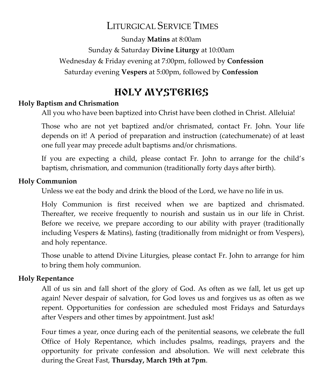# LITURGICAL SERVICE TIMES

Sunday **Matins** at 8:00am Sunday & Saturday **Divine Liturgy** at 10:00am Wednesday & Friday evening at 7:00pm, followed by **Confession** Saturday evening **Vespers** at 5:00pm, followed by **Confession**

# HOLY MYSTERIES

#### **Holy Baptism and Chrismation**

All you who have been baptized into Christ have been clothed in Christ. Alleluia!

Those who are not yet baptized and/or chrismated, contact Fr. John. Your life depends on it! A period of preparation and instruction (catechumenate) of at least one full year may precede adult baptisms and/or chrismations.

If you are expecting a child, please contact Fr. John to arrange for the child's baptism, chrismation, and communion (traditionally forty days after birth).

#### **Holy Communion**

Unless we eat the body and drink the blood of the Lord, we have no life in us.

Holy Communion is first received when we are baptized and chrismated. Thereafter, we receive frequently to nourish and sustain us in our life in Christ. Before we receive, we prepare according to our ability with prayer (traditionally including Vespers & Matins), fasting (traditionally from midnight or from Vespers), and holy repentance.

Those unable to attend Divine Liturgies, please contact Fr. John to arrange for him to bring them holy communion.

#### **Holy Repentance**

All of us sin and fall short of the glory of God. As often as we fall, let us get up again! Never despair of salvation, for God loves us and forgives us as often as we repent. Opportunities for confession are scheduled most Fridays and Saturdays after Vespers and other times by appointment. Just ask!

Four times a year, once during each of the penitential seasons, we celebrate the full Office of Holy Repentance, which includes psalms, readings, prayers and the opportunity for private confession and absolution. We will next celebrate this during the Great Fast, **Thursday, March 19th at 7pm**.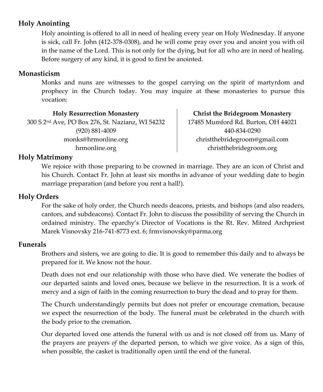#### **Holy Anointing**

Holy anointing is offered to all in need of healing every year on Holy Wednesday. If anyone is sick, call Fr. John (412-378-0308), and he will come pray over you and anoint you with oil in the name of the Lord. This is not only for the dying, but for all who are in need of healing. Before surgery of any kind, it is good to first be anointed.

#### **Monasticism**

Monks and nuns are witnesses to the gospel carrying on the spirit of martyrdom and prophecy in the Church today. You may inquire at these monasteries to pursue this vocation:

**Holy Resurrection Monastery** 300 S 2nd Ave, PO Box 276, St. Nazianz, WI 54232 (920) 881-4009 monks@hrmonline.org hrmonline.org

**Christ the Bridegroom Monastery** 17485 Mumford Rd. Burton, OH 44021 440-834-0290 christthebridegroom@gmail.com christthebridegroom.org

#### **Holy Matrimony**

We rejoice with those preparing to be crowned in marriage. They are an icon of Christ and his Church. Contact Fr. John at least six months in advance of your wedding date to begin marriage preparation (and before you rent a hall!).

#### **Holy Orders**

For the sake of holy order, the Church needs deacons, priests, and bishops (and also readers, cantors, and subdeacons). Contact Fr. John to discuss the possibility of serving the Church in ordained ministry. The eparchy's Director of Vocations is the Rt. Rev. Mitred Archpriest Marek Visnovsky 216-741-8773 ext. 6; frmvisnovsky@parma.org

#### **Funerals**

Brothers and sisters, we are going to die. It is good to remember this daily and to always be prepared for it. We know not the hour.

Death does not end our relationship with those who have died. We venerate the bodies of our departed saints and loved ones, because we believe in the resurrection. It is a work of mercy and a sign of faith in the coming resurrection to bury the dead and to pray for them.

The Church understandingly permits but does not prefer or encourage cremation, because we expect the resurrection of the body. The funeral must be celebrated in the church with the body prior to the cremation.

Our departed loved one attends the funeral with us and is not closed off from us. Many of the prayers are prayers *of* the departed person, to which we give voice. As a sign of this, when possible, the casket is traditionally open until the end of the funeral.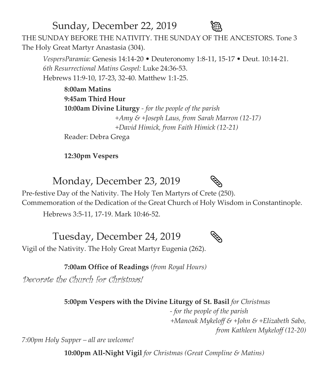Sunday, December 22, 2019 THE SUNDAY BEFORE THE NATIVITY. THE SUNDAY OF THE ANCESTORS. Tone 3 The Holy Great Martyr Anastasia (304).

*VespersParamia:* Genesis 14:14-20 • Deuteronomy 1:8-11, 15-17 • Deut. 10:14-21. *6th Resurrectional Matins Gospel:* Luke 24:36-53. Hebrews 11:9-10, 17-23, 32-40. Matthew 1:1-25.

**8:00am Matins 9:45am Third Hour 10:00am Divine Liturgy** *- for the people of the parish +Amy & +Joseph Laus, from Sarah Marron (12-17) +David Himick, from Faith Himick (12-21)*

Reader: Debra Grega

**12:30pm Vespers**

Monday, December 23, 2019



Pre-festive Day of the Nativity. The Holy Ten Martyrs of Crete (250).

Commemoration of the Dedication of the Great Church of Holy Wisdom in Constantinople.

Hebrews 3:5-11, 17-19. Mark 10:46-52.

Tuesday, December 24, 2019



Vigil of the Nativity. The Holy Great Martyr Eugenia (262).

**7:00am Office of Readings** *(from Royal Hours)*

Decorate the Church for Christmas!

**5:00pm Vespers with the Divine Liturgy of St. Basil** *for Christmas*

 *- for the people of the parish +Manouk Mykeloff & +John & +Elizabeth Sabo, from Kathleen Mykeloff (12-20)*

*7:00pm Holy Supper – all are welcome!*

**10:00pm All-Night Vigil** *for Christmas (Great Compline & Matins)*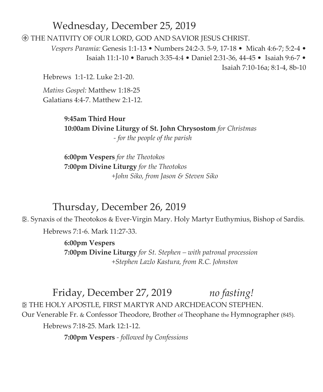### Wednesday, December 25, 2019

THE NATIVITY OF OUR LORD, GOD AND SAVIOR JESUS CHRIST.

*Vespers Paramia:* Genesis 1:1-13 • Numbers 24:2-3. 5-9, 17-18 • Micah 4:6-7; 5:2-4 • Isaiah 11:1-10 • Baruch 3:35-4:4 • Daniel 2:31-36, 44-45 • Isaiah 9:6-7 • Isaiah 7:10-16a; 8:1-4, 8b-10

Hebrews 1:1-12. Luke 2:1-20.

*Matins Gospel:* Matthew 1:18-25 Galatians 4:4-7. Matthew 2:1-12.

> **9:45am Third Hour 10:00am Divine Liturgy of St. John Chrysostom** *for Christmas - for the people of the parish*

**6:00pm Vespers** *for the Theotokos* **7:00pm Divine Liturgy** *for the Theotokos +John Siko, from Jason & Steven Siko* 

### Thursday, December 26, 2019

. Synaxis of the Theotokos & Ever-Virgin Mary. Holy Martyr Euthymius, Bishop of Sardis.

Hebrews 7:1-6. Mark 11:27-33.

**6:00pm Vespers 7:00pm Divine Liturgy** *for St. Stephen – with patronal procession +Stephen Lazlo Kastura, from R.C. Johnston* 

Friday, December 27, 2019 *no fasting!* THE HOLY APOSTLE, FIRST MARTYR AND ARCHDEACON STEPHEN.

Our Venerable Fr. & Confessor Theodore, Brother of Theophane the Hymnographer (845).

Hebrews 7:18-25. Mark 12:1-12.

**7:00pm Vespers** *- followed by Confessions*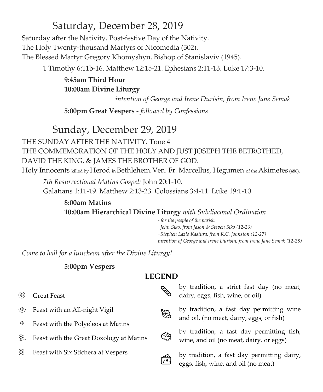# Saturday, December 28, 2019

Saturday after the Nativity. Post-festive Day of the Nativity. The Holy Twenty-thousand Martyrs of Nicomedia (302). The Blessed Martyr Gregory Khomyshyn, Bishop of Stanislaviv (1945).

1 Timothy 6:11b-16. Matthew 12:15-21. Ephesians 2:11-13. Luke 17:3-10.

**9:45am Third Hour 10:00am Divine Liturgy**

 *intention of George and Irene Durisin, from Irene Jane Semak* 

**5:00pm Great Vespers** *- followed by Confessions*

# Sunday, December 29, 2019

THE SUNDAY AFTER THE NATIVITY. Tone 4 THE COMMEMORATION OF THE HOLY AND JUST JOSEPH THE BETROTHED, DAVID THE KING, & JAMES THE BROTHER OF GOD. Holy Innocents killed by Herod in Bethlehem. Ven. Fr. Marcellus, Hegumen of the Akimetes (486).

*7th Resurrectional Matins Gospel:* John 20:1-10. Galatians 1:11-19. Matthew 2:13-23. Colossians 3:4-11. Luke 19:1-10.

**8:00am Matins 10:00am Hierarchical Divine Liturgy** *with Subdiaconal Ordination*

> *- for the people of the parish +John Siko, from Jason & Steven Siko (12-26) +Stephen Lazlo Kastura, from R.C. Johnston (12-27) intention of George and Irene Durisin, from Irene Jane Semak (12-28)*

*Come to hall for a luncheon after the Divine Liturgy!*

#### **5:00pm Vespers**

#### **LEGEND**

- Great Feast
- Feast with an All-night Vigil
- $\div$  Feast with the Polyeleos at Matins
- . Feast with the Great Doxology at Matins
- Feast with Six Stichera at Vespers

 by tradition, a strict fast day (no meat, dairy, eggs, fish, wine, or oil)



 by tradition, a fast day permitting wine and oil. (no meat, dairy, eggs, or fish)



by tradition, a fast day permitting fish, wine, and oil (no meat, dairy, or eggs)



by tradition, a fast day permitting dairy, eggs, fish, wine, and oil (no meat)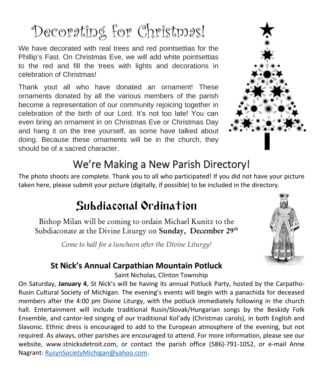# Decorating for Christmas!

We have decorated with real trees and red pointsettias for the Phillip's Fast. On Christmas Eve, we will add white pointsettias to the red and fill the trees with lights and decorations in celebration of Christmas!

Thank yout all who have donated an ornament! These ornaments donated by all the various members of the parish become a representation of our community rejoicing together in celebration of the birth of our Lord. It's not too late! You can even bring an ornament in on Christmas Eve or Christmas Day and hang it on the tree yourself, as some have talked about doing. Because these ornaments will be in the church, they should be of a sacred character.



# We're Making a New Parish Directory!

The photo shoots are complete. Thank you to all who participated! If you did not have your picture taken here, please submit your picture (digitally, if possible) to be included in the directory.

# Subdiaconal Ordination

Bishop Milan will be coming to ordain Michael Kunitz to the Subdiaconate at the Divine Liturgy on Sunday, December 29<sup>th</sup>

*Come to hall for a luncheon after the Divine Liturgy!*



### **St Nick's Annual Carpathian Mountain Potluck**

Saint Nicholas, Clinton Township

On Saturday, **January 4**, St Nick's will be having its annual Potluck Party, hosted by the Carpatho-Rusin Cultural Society of Michigan. The evening's events will begin with a panachida for deceased members after the 4:00 pm Divine Liturgy, with the potluck immediately following in the church hall. Entertainment will include traditional Rusin/Slovak/Hungarian songs by the Beskidy Folk Ensemble, and cantor-led singing of our traditional Kol'ady (Christmas carols), in both English and Slavonic. Ethnic dress is encouraged to add to the European atmosphere of the evening, but not required. As always, other parishes are encouraged to attend. For more information, please see our website, www.stnicksdetroit.com, or contact the parish office (586)-791-1052, or e-mail Anne Nagrant: [RusynSocietyMichigan@yahoo.com.](mailto:RusynSocietyMichigan@yahoo.com)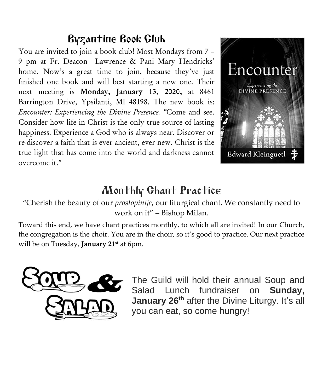# Byzantine Book Club

You are invited to join a book club! Most Mondays from 7 – 9 pm at Fr. Deacon Lawrence & Pani Mary Hendricks' home. Now's a great time to join, because they've just finished one book and will best starting a new one. Their next meeting is Monday, January 13, 2020, at 8461 Barrington Drive, Ypsilanti, MI 48198. The new book is: *Encounter: Experiencing the Divine Presence. "*Come and see. Consider how life in Christ is the only true source of lasting happiness. Experience a God who is always near. Discover or re-discover a faith that is ever ancient, ever new. Christ is the true light that has come into the world and darkness cannot overcome it."



# Monthly Chant Practice

"Cherish the beauty of our *prostopinije*, our liturgical chant. We constantly need to work on it" – Bishop Milan.

Toward this end, we have chant practices monthly, to which all are invited! In our Church, the congregation is the choir. You are in the choir, so it's good to practice. Our next practice will be on Tuesday, **January 21st** at 6pm.



The Guild will hold their annual Soup and Salad Lunch fundraiser on **Sunday, January 26th** after the Divine Liturgy. It's all you can eat, so come hungry!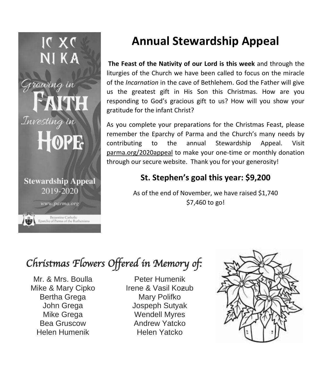

# **Annual Stewardship Appeal**

**The Feast of the Nativity of our Lord is this week** and through the liturgies of the Church we have been called to focus on the miracle of the *Incarnation* in the cave of Bethlehem. God the Father will give us the greatest gift in His Son this Christmas. How are you responding to God's gracious gift to us? How will you show your gratitude for the infant Christ?

As you complete your preparations for the Christmas Feast, please remember the Eparchy of Parma and the Church's many needs by contributing to the annual Stewardship Appeal. Visit parma.org/2020appeal to make your one-time or monthly donation through our secure website. Thank you for your generosity!

## **St. Stephen's goal this year: \$9,200**

As of the end of November, we have raised \$1,740 \$7,460 to go!

# *Christmas Flowers Offered in Memory of:*

Mr. & Mrs. Boulla Mike & Mary Cipko Bertha Grega John Grega Mike Grega Bea Gruscow Helen Humenik

Peter Humenik Irene & Vasil Koƶub Mary Polifko Jospeph Sutyak Wendell Myres Andrew Yatcko Helen Yatcko

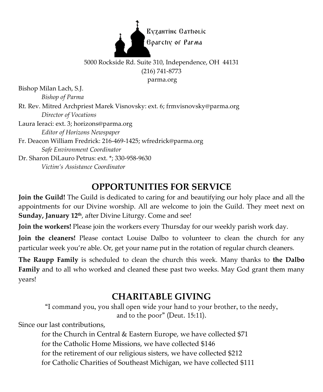

#### 5000 Rockside Rd. Suite 310, Independence, OH 44131 (216) 741-8773 parma.org

Bishop Milan Lach, S.J. *Bishop of Parma*

Rt. Rev. Mitred Archpriest Marek Visnovsky: ext. 6; frmvisnovsky@parma.org *Director of Vocations*

Laura Ieraci: ext. 3; horizons@parma.org *Editor of Horizons Newspaper*

Fr. Deacon William Fredrick: 216-469-1425; wfredrick@parma.org *Safe Environment Coordinator*

Dr. Sharon DiLauro Petrus: ext. \*; 330-958-9630 *Victim's Assistance Coordinator*

# **OPPORTUNITIES FOR SERVICE**

**Join the Guild!** The Guild is dedicated to caring for and beautifying our holy place and all the appointments for our Divine worship. All are welcome to join the Guild. They meet next on **Sunday, January 12<sup>th</sup>, after Divine Liturgy. Come and see!** 

**Join the workers!** Please join the workers every Thursday for our weekly parish work day.

**Join the cleaners!** Please contact Louise Dalbo to volunteer to clean the church for any particular week you're able. Or, get your name put in the rotation of regular church cleaners.

**The Raupp Family** is scheduled to clean the church this week. Many thanks to **the Dalbo Family** and to all who worked and cleaned these past two weeks. May God grant them many years!

## **CHARITABLE GIVING**

"I command you, you shall open wide your hand to your brother, to the needy, and to the poor" (Deut. 15:11).

Since our last contributions,

for the Church in Central & Eastern Europe, we have collected \$71 for the Catholic Home Missions, we have collected \$146 for the retirement of our religious sisters, we have collected \$212 for Catholic Charities of Southeast Michigan, we have collected \$111